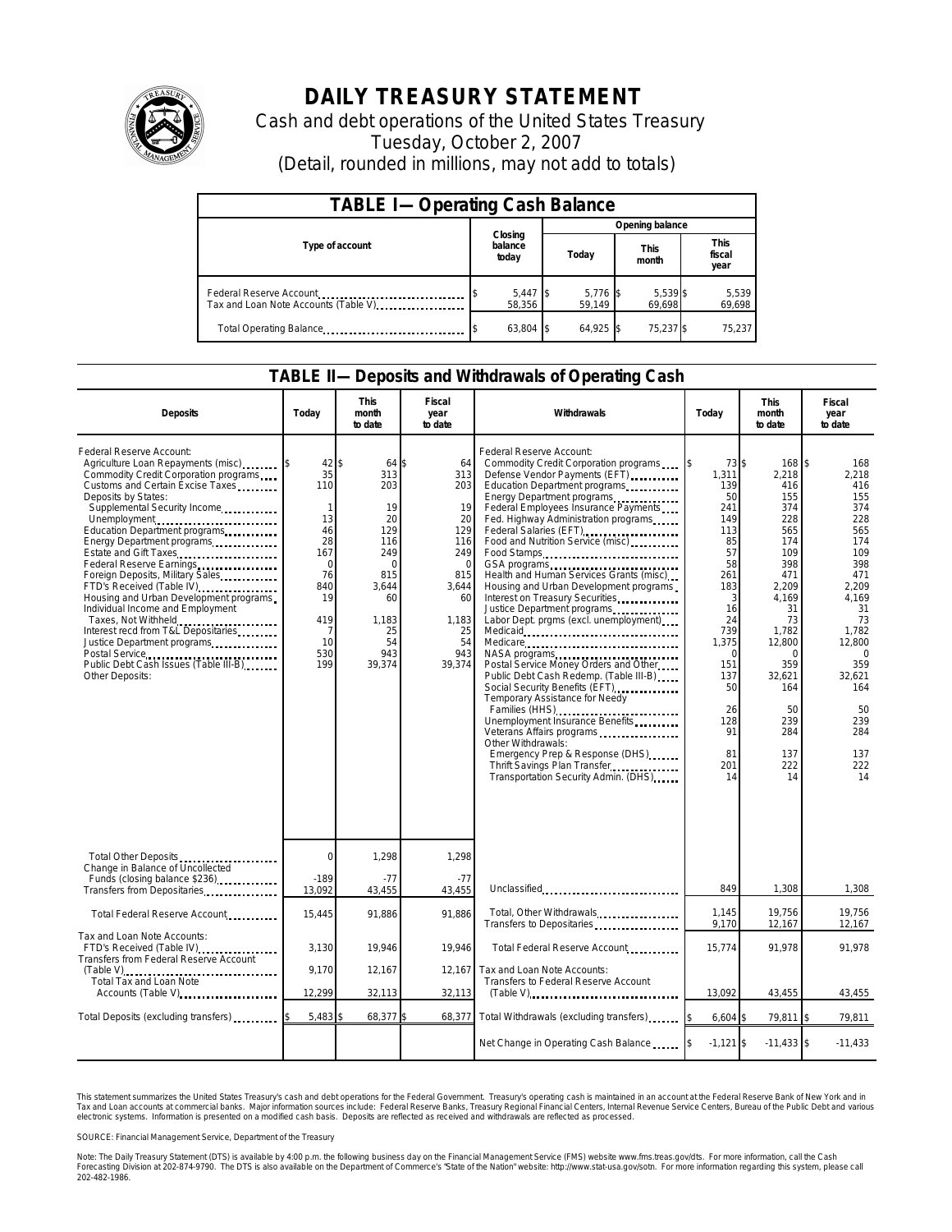

## **DAILY TREASURY STATEMENT**

Cash and debt operations of the United States Treasury Tuesday, October 2, 2007 (Detail, rounded in millions, may not add to totals)

| <b>TABLE I-Operating Cash Balance</b>                           |                             |                      |                      |                               |  |  |  |
|-----------------------------------------------------------------|-----------------------------|----------------------|----------------------|-------------------------------|--|--|--|
|                                                                 |                             | Opening balance      |                      |                               |  |  |  |
| Type of account                                                 | Closing<br>balance<br>today | Today                | <b>This</b><br>month | <b>This</b><br>fiscal<br>year |  |  |  |
| Federal Reserve Account<br>Tax and Loan Note Accounts (Table V) | $5,447$ \$<br>58.356        | $5,776$ \$<br>59.149 | 5,539 \$<br>69,698   | 5,539<br>69,698               |  |  |  |
| Total Operating Balance                                         | 63,804 \$                   | 64.925               | 75,237 \$            | 75,237                        |  |  |  |

## **TABLE II—Deposits and Withdrawals of Operating Cash**

| <b>Deposits</b>                                                                                                                                                                                                                                                                                                                                                                                                                                                                                                                                                                                                    | Today                                                                                                                             | <b>This</b><br>month<br>to date                                                                                              | Fiscal<br>year<br>to date                                                                                                 | Withdrawals                                                                                                                                                                                                                                                                                                                                                                                                                                                                                                                                                                                                                                                                                                                                                                                                                                                                                                                                      | Today                                                                                                                                                                            | <b>This</b><br>month<br>to date                                                                                                                                                                             | Fiscal<br>year<br>to date                                                                                                                                                                                |
|--------------------------------------------------------------------------------------------------------------------------------------------------------------------------------------------------------------------------------------------------------------------------------------------------------------------------------------------------------------------------------------------------------------------------------------------------------------------------------------------------------------------------------------------------------------------------------------------------------------------|-----------------------------------------------------------------------------------------------------------------------------------|------------------------------------------------------------------------------------------------------------------------------|---------------------------------------------------------------------------------------------------------------------------|--------------------------------------------------------------------------------------------------------------------------------------------------------------------------------------------------------------------------------------------------------------------------------------------------------------------------------------------------------------------------------------------------------------------------------------------------------------------------------------------------------------------------------------------------------------------------------------------------------------------------------------------------------------------------------------------------------------------------------------------------------------------------------------------------------------------------------------------------------------------------------------------------------------------------------------------------|----------------------------------------------------------------------------------------------------------------------------------------------------------------------------------|-------------------------------------------------------------------------------------------------------------------------------------------------------------------------------------------------------------|----------------------------------------------------------------------------------------------------------------------------------------------------------------------------------------------------------|
| Federal Reserve Account:<br>Agriculture Loan Repayments (misc)<br>Commodity Credit Corporation programs<br>Customs and Certain Excise Taxes<br>Deposits by States:<br>Supplemental Security Income<br>Unemployment<br>Education Department programs<br>Energy Department programs<br>Estate and Gift Taxes<br>Foreign Deposits, Military Sales<br>FTD's Received (Table IV)<br>Housing and Urban Development programs<br>Individual Income and Employment<br>Taxes, Not Withheld<br>Interest recd from T&L Depositaries<br>Justice Department programs<br>Public Debt Cash Issues (Table III-B)<br>Other Deposits: | $42$ \ \$<br>35<br>110<br>$\mathbf{1}$<br>13<br>46<br>28<br>167<br>$\mathbf 0$<br>76<br>840<br>19<br>419<br>7<br>10<br>530<br>199 | 64 \$<br>313<br>203<br>19<br>20<br>129<br>116<br>249<br>$\Omega$<br>815<br>3,644<br>60<br>1,183<br>25<br>54<br>943<br>39,374 | 64<br>313<br>203<br>19<br>20<br>129<br>116<br>249<br>$\Omega$<br>815<br>3,644<br>60<br>1,183<br>25<br>54<br>943<br>39,374 | Federal Reserve Account:<br>Commodity Credit Corporation programs<br>Defense Vendor Payments (EFT)<br>Education Department programs<br>Energy Department programs<br>Federal Employees Insurance Payments<br>Fed. Highway Administration programs<br>Federal Salaries (EFT)<br>Food and Nutrition Service (misc)<br>Food Stamps<br>Health and Human Services Grants (misc)<br>Housing and Urban Development programs<br>Interest on Treasury Securities.<br>Justice Department programs<br>Labor Dept. prgms (excl. unemployment)<br>Medicare<br>NASA programs<br>Postal Service Money Orders and Other<br>Public Debt Cash Redemp. (Table III-B)<br>Social Security Benefits (EFT)<br>Temporary Assistance for Needy<br>Families (HHS) <b></b><br>Unemployment Insurance Benefits<br>Veterans Affairs programs<br>Other Withdrawals:<br>Emergency Prep & Response (DHS)<br>Thrift Savings Plan Transfer<br>Transportation Security Admin. (DHS) | 73 \$<br>1,311<br>139<br>50<br>241<br>149<br>113<br>85<br>57<br>58<br>261<br>183<br>3<br>16<br>24<br>739<br>1,375<br>∩<br>151<br>137<br>50<br>26<br>128<br>91<br>81<br>201<br>14 | 168 \$<br>2,218<br>416<br>155<br>374<br>228<br>565<br>174<br>109<br>398<br>471<br>2,209<br>4,169<br>31<br>73<br>1,782<br>12,800<br>$\Omega$<br>359<br>32,621<br>164<br>50<br>239<br>284<br>137<br>222<br>14 | 168<br>2,218<br>416<br>155<br>374<br>228<br>565<br>174<br>109<br>398<br>471<br>2.209<br>4.169<br>31<br>73<br>1,782<br>12,800<br>$\Omega$<br>359<br>32,621<br>164<br>50<br>239<br>284<br>137<br>222<br>14 |
| Total Other Deposits<br>Change in Balance of Uncollected                                                                                                                                                                                                                                                                                                                                                                                                                                                                                                                                                           | 0                                                                                                                                 | 1,298                                                                                                                        | 1,298                                                                                                                     |                                                                                                                                                                                                                                                                                                                                                                                                                                                                                                                                                                                                                                                                                                                                                                                                                                                                                                                                                  |                                                                                                                                                                                  |                                                                                                                                                                                                             |                                                                                                                                                                                                          |
| Funds (closing balance \$236)<br>Transfers from Depositaries                                                                                                                                                                                                                                                                                                                                                                                                                                                                                                                                                       | $-189$<br>13,092                                                                                                                  | $-77$<br>43,455                                                                                                              | $-77$<br>43,455                                                                                                           | Unclassified                                                                                                                                                                                                                                                                                                                                                                                                                                                                                                                                                                                                                                                                                                                                                                                                                                                                                                                                     | 849                                                                                                                                                                              | 1,308                                                                                                                                                                                                       | 1,308                                                                                                                                                                                                    |
| Total Federal Reserve Account                                                                                                                                                                                                                                                                                                                                                                                                                                                                                                                                                                                      | 15,445                                                                                                                            | 91,886                                                                                                                       | 91.886                                                                                                                    | Total, Other Withdrawals<br>Transfers to Depositaries                                                                                                                                                                                                                                                                                                                                                                                                                                                                                                                                                                                                                                                                                                                                                                                                                                                                                            | 1.145<br>9,170                                                                                                                                                                   | 19,756<br>12,167                                                                                                                                                                                            | 19,756<br>12,167                                                                                                                                                                                         |
| Tax and Loan Note Accounts:<br>FTD's Received (Table IV)<br>Transfers from Federal Reserve Account<br>$(Table \vee$<br>Total Tax and Loan Note<br>Accounts (Table V)                                                                                                                                                                                                                                                                                                                                                                                                                                               | 3,130                                                                                                                             | 19,946                                                                                                                       | 19,946                                                                                                                    | Total Federal Reserve Account                                                                                                                                                                                                                                                                                                                                                                                                                                                                                                                                                                                                                                                                                                                                                                                                                                                                                                                    | 15,774                                                                                                                                                                           | 91,978                                                                                                                                                                                                      | 91,978                                                                                                                                                                                                   |
|                                                                                                                                                                                                                                                                                                                                                                                                                                                                                                                                                                                                                    | 9,170<br>12,299                                                                                                                   | 12,167                                                                                                                       | 12,167                                                                                                                    | Tax and Loan Note Accounts:<br>Transfers to Federal Reserve Account                                                                                                                                                                                                                                                                                                                                                                                                                                                                                                                                                                                                                                                                                                                                                                                                                                                                              | 13,092                                                                                                                                                                           |                                                                                                                                                                                                             |                                                                                                                                                                                                          |
|                                                                                                                                                                                                                                                                                                                                                                                                                                                                                                                                                                                                                    |                                                                                                                                   | 32,113                                                                                                                       | 32,113                                                                                                                    | $(Table V)$                                                                                                                                                                                                                                                                                                                                                                                                                                                                                                                                                                                                                                                                                                                                                                                                                                                                                                                                      |                                                                                                                                                                                  | 43,455                                                                                                                                                                                                      | 43,455                                                                                                                                                                                                   |
| Total Deposits (excluding transfers)                                                                                                                                                                                                                                                                                                                                                                                                                                                                                                                                                                               | $5,483$ \$                                                                                                                        | 68,377 \$                                                                                                                    | 68,377                                                                                                                    | Total Withdrawals (excluding transfers)                                                                                                                                                                                                                                                                                                                                                                                                                                                                                                                                                                                                                                                                                                                                                                                                                                                                                                          | 6,604                                                                                                                                                                            | 79,811 \$                                                                                                                                                                                                   | 79,811                                                                                                                                                                                                   |
|                                                                                                                                                                                                                                                                                                                                                                                                                                                                                                                                                                                                                    |                                                                                                                                   |                                                                                                                              |                                                                                                                           | Net Change in Operating Cash Balance                                                                                                                                                                                                                                                                                                                                                                                                                                                                                                                                                                                                                                                                                                                                                                                                                                                                                                             | $-1,121$ \$                                                                                                                                                                      | $-11,433$ \$                                                                                                                                                                                                | $-11,433$                                                                                                                                                                                                |

This statement summarizes the United States Treasury's cash and debt operations for the Federal Government. Treasury's operating cash is maintained in an account at the Federal Reserve Bank of New York and in<br>Tax and Loan narizes the United States Treasury's cash and debt operations for the Federal Government. Treasury's operating cash is maintained in an account at the Federal Reserve Bank of New York and in<br>nts at commercial banks. Major

SOURCE: Financial Management Service, Department of the Treasury

Note: The Daily Treasury Statement (DTS) is available by 4:00 p.m. the following business day on the Financial Management Service (FMS) website www.fms.treas.gov/dts. For more information, call the Cash<br>Forecasting Divisio 202-482-1986.